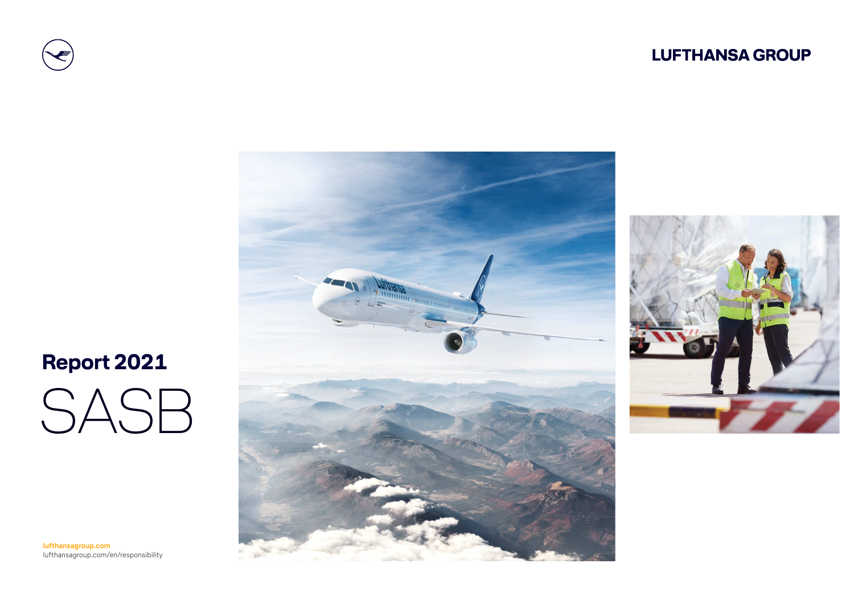### **LUFTHANSA GROUP**







SASB  **Report 2021**

**lufthansagroup.com**lufthansagroup.com/en/responsibility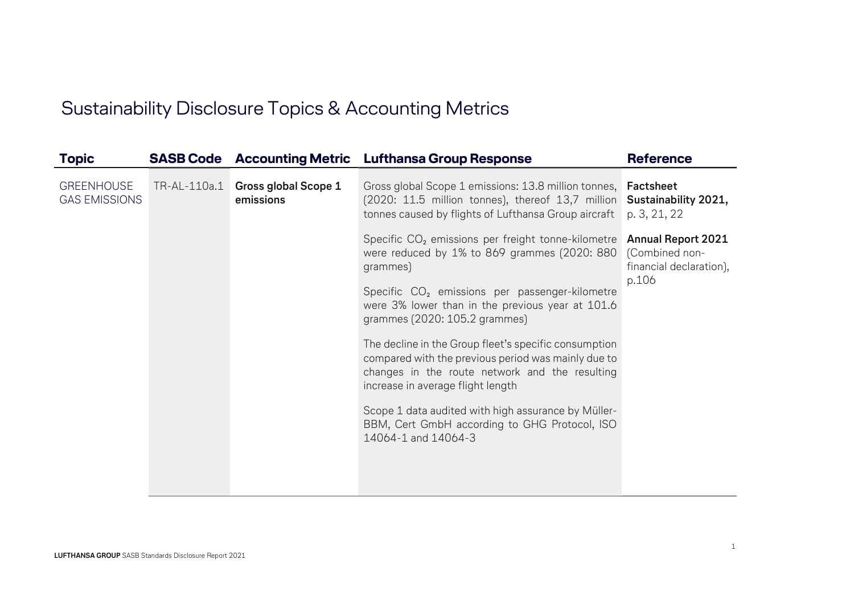## Sustainability Disclosure Topics & Accounting Metrics

| <b>Topic</b>                              |              |                                   | <b>SASB Code</b> Accounting Metric Lufthansa Group Response                                                                                                                                                                                                                   | <b>Reference</b>                                                                |
|-------------------------------------------|--------------|-----------------------------------|-------------------------------------------------------------------------------------------------------------------------------------------------------------------------------------------------------------------------------------------------------------------------------|---------------------------------------------------------------------------------|
| <b>GREENHOUSE</b><br><b>GAS EMISSIONS</b> | TR-AL-110a.1 | Gross global Scope 1<br>emissions | Gross global Scope 1 emissions: 13.8 million tonnes, <b>Factsheet</b><br>(2020: 11.5 million tonnes), thereof 13,7 million Sustainability 2021,<br>tonnes caused by flights of Lufthansa Group aircraft                                                                       | p. 3, 21, 22                                                                    |
|                                           |              |                                   | Specific CO <sub>2</sub> emissions per freight tonne-kilometre<br>were reduced by 1% to 869 grammes (2020: 880<br>grammes)<br>Specific CO <sub>2</sub> emissions per passenger-kilometre<br>were 3% lower than in the previous year at 101.6<br>grammes (2020: 105.2 grammes) | <b>Annual Report 2021</b><br>(Combined non-<br>financial declaration),<br>p.106 |
|                                           |              |                                   | The decline in the Group fleet's specific consumption<br>compared with the previous period was mainly due to<br>changes in the route network and the resulting<br>increase in average flight length                                                                           |                                                                                 |
|                                           |              |                                   | Scope 1 data audited with high assurance by Müller-<br>BBM, Cert GmbH according to GHG Protocol, ISO<br>14064-1 and 14064-3                                                                                                                                                   |                                                                                 |
|                                           |              |                                   |                                                                                                                                                                                                                                                                               |                                                                                 |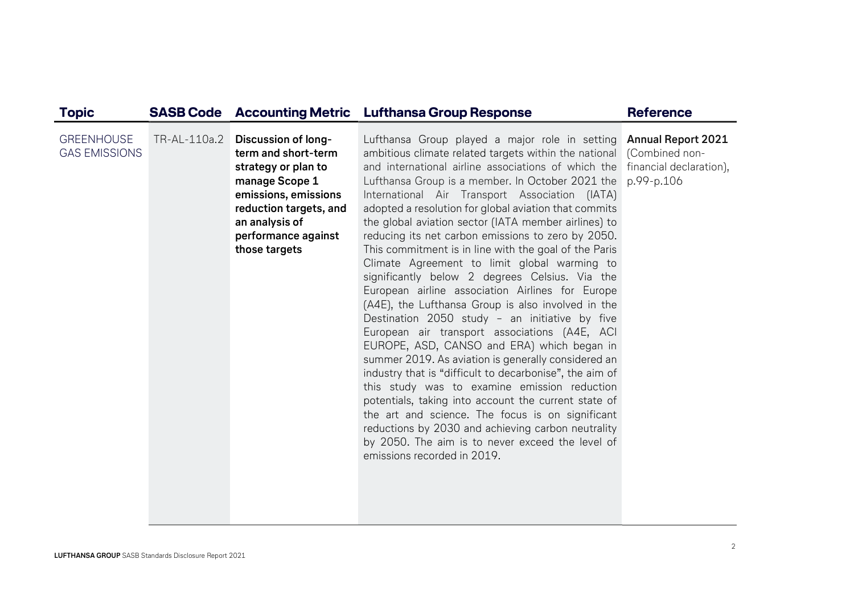| <b>Topic</b>                              |                                                                                                                                                                                                              | <b>SASB Code</b> Accounting Metric Lufthansa Group Response                                                                                                                                                                                                                                                                                                                                                                                                                                                                                                                                                                                                                                                                                                                                                                                                                                                                                                                                                                                                                                                                                                                                                                                                                                                                                        | <b>Reference</b> |
|-------------------------------------------|--------------------------------------------------------------------------------------------------------------------------------------------------------------------------------------------------------------|----------------------------------------------------------------------------------------------------------------------------------------------------------------------------------------------------------------------------------------------------------------------------------------------------------------------------------------------------------------------------------------------------------------------------------------------------------------------------------------------------------------------------------------------------------------------------------------------------------------------------------------------------------------------------------------------------------------------------------------------------------------------------------------------------------------------------------------------------------------------------------------------------------------------------------------------------------------------------------------------------------------------------------------------------------------------------------------------------------------------------------------------------------------------------------------------------------------------------------------------------------------------------------------------------------------------------------------------------|------------------|
| <b>GREENHOUSE</b><br><b>GAS EMISSIONS</b> | TR-AL-110a.2 Discussion of long-<br>term and short-term<br>strategy or plan to<br>manage Scope 1<br>emissions, emissions<br>reduction targets, and<br>an analysis of<br>performance against<br>those targets | Lufthansa Group played a major role in setting Annual Report 2021<br>ambitious climate related targets within the national (Combined non-<br>and international airline associations of which the financial declaration),<br>Lufthansa Group is a member. In October 2021 the<br>International Air Transport Association (IATA)<br>adopted a resolution for global aviation that commits<br>the global aviation sector (IATA member airlines) to<br>reducing its net carbon emissions to zero by 2050.<br>This commitment is in line with the goal of the Paris<br>Climate Agreement to limit global warming to<br>significantly below 2 degrees Celsius. Via the<br>European airline association Airlines for Europe<br>(A4E), the Lufthansa Group is also involved in the<br>Destination 2050 study - an initiative by five<br>European air transport associations (A4E, ACI<br>EUROPE, ASD, CANSO and ERA) which began in<br>summer 2019. As aviation is generally considered an<br>industry that is "difficult to decarbonise", the aim of<br>this study was to examine emission reduction<br>potentials, taking into account the current state of<br>the art and science. The focus is on significant<br>reductions by 2030 and achieving carbon neutrality<br>by 2050. The aim is to never exceed the level of<br>emissions recorded in 2019. | p.99-p.106       |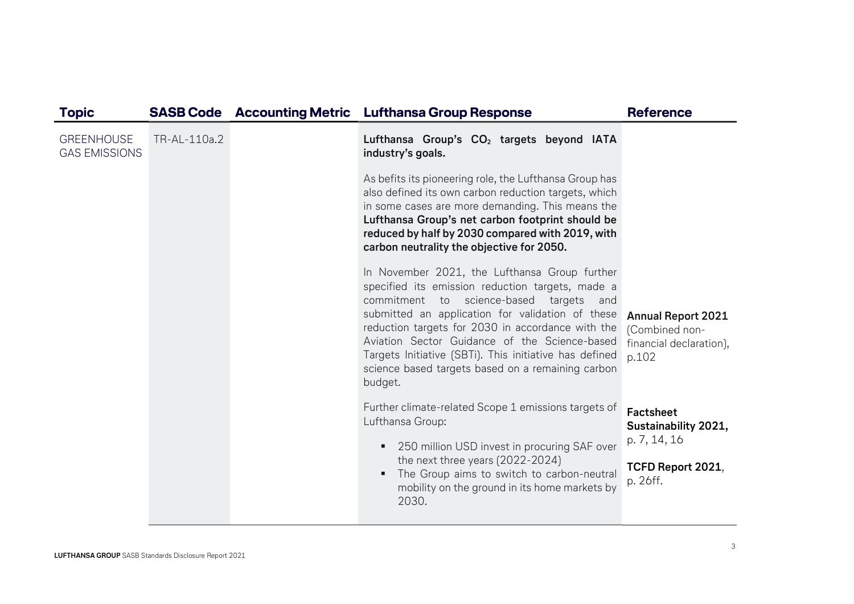| <b>Topic</b>                              |              | <b>SASB Code</b> Accounting Metric | <b>Lufthansa Group Response</b>                                                                                                                                                                                                                                                                                                                                                                                                  | <b>Reference</b>                                                                          |
|-------------------------------------------|--------------|------------------------------------|----------------------------------------------------------------------------------------------------------------------------------------------------------------------------------------------------------------------------------------------------------------------------------------------------------------------------------------------------------------------------------------------------------------------------------|-------------------------------------------------------------------------------------------|
| <b>GREENHOUSE</b><br><b>GAS EMISSIONS</b> | TR-AL-110a.2 |                                    | Lufthansa Group's CO <sub>2</sub> targets beyond IATA<br>industry's goals.                                                                                                                                                                                                                                                                                                                                                       |                                                                                           |
|                                           |              |                                    | As befits its pioneering role, the Lufthansa Group has<br>also defined its own carbon reduction targets, which<br>in some cases are more demanding. This means the<br>Lufthansa Group's net carbon footprint should be<br>reduced by half by 2030 compared with 2019, with<br>carbon neutrality the objective for 2050.                                                                                                          |                                                                                           |
|                                           |              |                                    | In November 2021, the Lufthansa Group further<br>specified its emission reduction targets, made a<br>commitment to science-based targets and<br>submitted an application for validation of these<br>reduction targets for 2030 in accordance with the<br>Aviation Sector Guidance of the Science-based<br>Targets Initiative (SBTi). This initiative has defined<br>science based targets based on a remaining carbon<br>budget. | <b>Annual Report 2021</b><br>(Combined non-<br>financial declaration),<br>p.102           |
|                                           |              |                                    | Further climate-related Scope 1 emissions targets of<br>Lufthansa Group:<br>250 million USD invest in procuring SAF over<br>٠<br>the next three years (2022-2024)<br>The Group aims to switch to carbon-neutral<br>mobility on the ground in its home markets by<br>2030.                                                                                                                                                        | <b>Factsheet</b><br>Sustainability 2021,<br>p. 7, 14, 16<br>TCFD Report 2021,<br>p. 26ff. |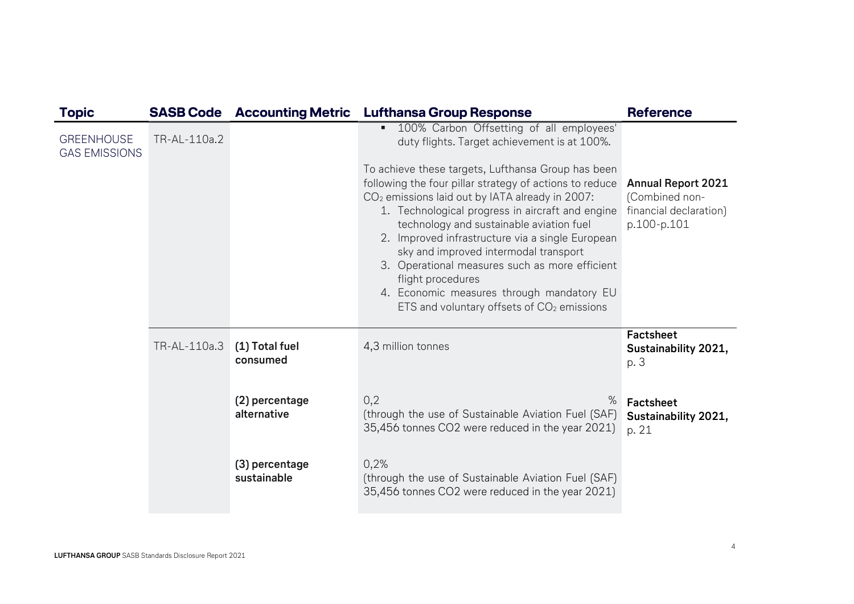| <b>Topic</b>                              |              | <b>SASB Code Accounting Metric</b> | <b>Lufthansa Group Response</b>                                                                                                                                                                                                                                                                                                                                                                                                                                                                                                     | <b>Reference</b>                                                                     |
|-------------------------------------------|--------------|------------------------------------|-------------------------------------------------------------------------------------------------------------------------------------------------------------------------------------------------------------------------------------------------------------------------------------------------------------------------------------------------------------------------------------------------------------------------------------------------------------------------------------------------------------------------------------|--------------------------------------------------------------------------------------|
| <b>GREENHOUSE</b><br><b>GAS EMISSIONS</b> | TR-AL-110a.2 |                                    | 100% Carbon Offsetting of all employees'<br>п<br>duty flights. Target achievement is at 100%.                                                                                                                                                                                                                                                                                                                                                                                                                                       |                                                                                      |
|                                           |              |                                    | To achieve these targets, Lufthansa Group has been<br>following the four pillar strategy of actions to reduce<br>$CO2$ emissions laid out by IATA already in 2007:<br>1. Technological progress in aircraft and engine<br>technology and sustainable aviation fuel<br>2. Improved infrastructure via a single European<br>sky and improved intermodal transport<br>3. Operational measures such as more efficient<br>flight procedures<br>4. Economic measures through mandatory EU<br>ETS and voluntary offsets of $CO2$ emissions | <b>Annual Report 2021</b><br>(Combined non-<br>financial declaration)<br>p.100-p.101 |
|                                           | TR-AL-110a.3 | (1) Total fuel<br>consumed         | 4,3 million tonnes                                                                                                                                                                                                                                                                                                                                                                                                                                                                                                                  | Factsheet<br>Sustainability 2021,<br>p. 3                                            |
|                                           |              | (2) percentage<br>alternative      | $\%$<br>0,2<br>(through the use of Sustainable Aviation Fuel (SAF)<br>35,456 tonnes CO2 were reduced in the year 2021)                                                                                                                                                                                                                                                                                                                                                                                                              | Factsheet<br>Sustainability 2021,<br>p. 21                                           |
|                                           |              | (3) percentage<br>sustainable      | 0,2%<br>(through the use of Sustainable Aviation Fuel (SAF)<br>35,456 tonnes CO2 were reduced in the year 2021)                                                                                                                                                                                                                                                                                                                                                                                                                     |                                                                                      |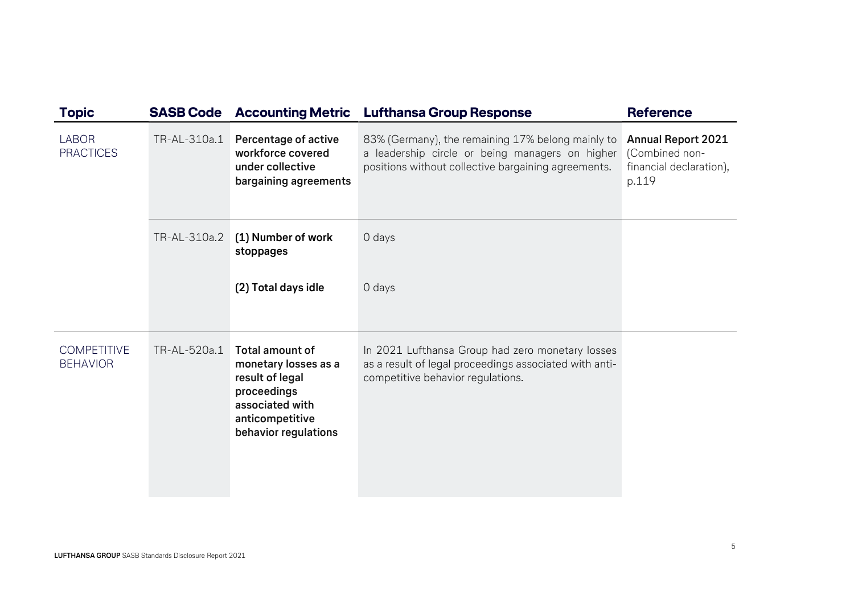| <b>Topic</b>                          |              | <b>SASB Code</b> Accounting Metric                                                                                                             | <b>Lufthansa Group Response</b>                                                                                                                             | <b>Reference</b>                                                                |
|---------------------------------------|--------------|------------------------------------------------------------------------------------------------------------------------------------------------|-------------------------------------------------------------------------------------------------------------------------------------------------------------|---------------------------------------------------------------------------------|
| <b>LABOR</b><br><b>PRACTICES</b>      | TR-AL-310a.1 | <b>Percentage of active</b><br>workforce covered<br>under collective<br>bargaining agreements                                                  | 83% (Germany), the remaining 17% belong mainly to<br>a leadership circle or being managers on higher<br>positions without collective bargaining agreements. | <b>Annual Report 2021</b><br>(Combined non-<br>financial declaration),<br>p.119 |
|                                       | TR-AL-310a.2 | (1) Number of work<br>stoppages                                                                                                                | 0 days                                                                                                                                                      |                                                                                 |
|                                       |              | (2) Total days idle                                                                                                                            | 0 days                                                                                                                                                      |                                                                                 |
| <b>COMPETITIVE</b><br><b>BEHAVIOR</b> | TR-AL-520a.1 | <b>Total amount of</b><br>monetary losses as a<br>result of legal<br>proceedings<br>associated with<br>anticompetitive<br>behavior regulations | In 2021 Lufthansa Group had zero monetary losses<br>as a result of legal proceedings associated with anti-<br>competitive behavior regulations.             |                                                                                 |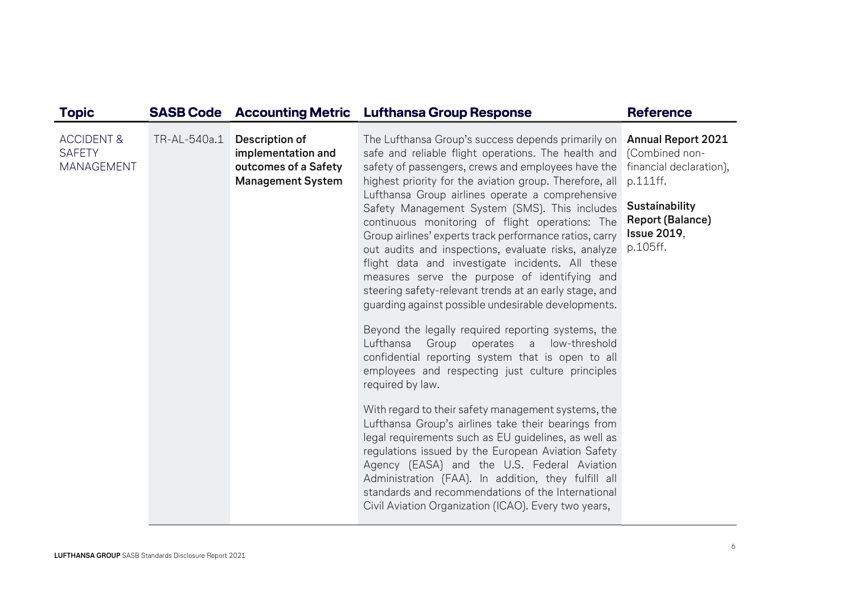| <b>Topic</b>                                                |              |                                                                                                 | <b>SASB Code</b> Accounting Metric Lufthansa Group Response                                                                                                                                                                                                                                                                                                                                                                                                                                                                                                                                                                                                                                                                                                                                                                                                                                                                                                                                                                                                                                                                                                                                                                                                                                                                                                                                                     | <b>Reference</b>                                                                                                                                                  |
|-------------------------------------------------------------|--------------|-------------------------------------------------------------------------------------------------|-----------------------------------------------------------------------------------------------------------------------------------------------------------------------------------------------------------------------------------------------------------------------------------------------------------------------------------------------------------------------------------------------------------------------------------------------------------------------------------------------------------------------------------------------------------------------------------------------------------------------------------------------------------------------------------------------------------------------------------------------------------------------------------------------------------------------------------------------------------------------------------------------------------------------------------------------------------------------------------------------------------------------------------------------------------------------------------------------------------------------------------------------------------------------------------------------------------------------------------------------------------------------------------------------------------------------------------------------------------------------------------------------------------------|-------------------------------------------------------------------------------------------------------------------------------------------------------------------|
| <b>ACCIDENT &amp;</b><br><b>SAFETY</b><br><b>MANAGEMENT</b> | TR-AL-540a.1 | <b>Description of</b><br>implementation and<br>outcomes of a Safety<br><b>Management System</b> | The Lufthansa Group's success depends primarily on<br>safe and reliable flight operations. The health and<br>safety of passengers, crews and employees have the<br>highest priority for the aviation group. Therefore, all<br>Lufthansa Group airlines operate a comprehensive<br>Safety Management System (SMS). This includes<br>continuous monitoring of flight operations: The<br>Group airlines' experts track performance ratios, carry<br>out audits and inspections, evaluate risks, analyze<br>flight data and investigate incidents. All these<br>measures serve the purpose of identifying and<br>steering safety-relevant trends at an early stage, and<br>guarding against possible undesirable developments.<br>Beyond the legally required reporting systems, the<br>Lufthansa<br>Group operates<br>a low-threshold<br>confidential reporting system that is open to all<br>employees and respecting just culture principles<br>required by law.<br>With regard to their safety management systems, the<br>Lufthansa Group's airlines take their bearings from<br>legal requirements such as EU guidelines, as well as<br>regulations issued by the European Aviation Safety<br>Agency (EASA) and the U.S. Federal Aviation<br>Administration (FAA). In addition, they fulfill all<br>standards and recommendations of the International<br>Civil Aviation Organization (ICAO). Every two years, | <b>Annual Report 2021</b><br>(Combined non-<br>financial declaration),<br>p.111ff.<br>Sustainability<br><b>Report (Balance)</b><br><b>Issue 2019,</b><br>p.105ff. |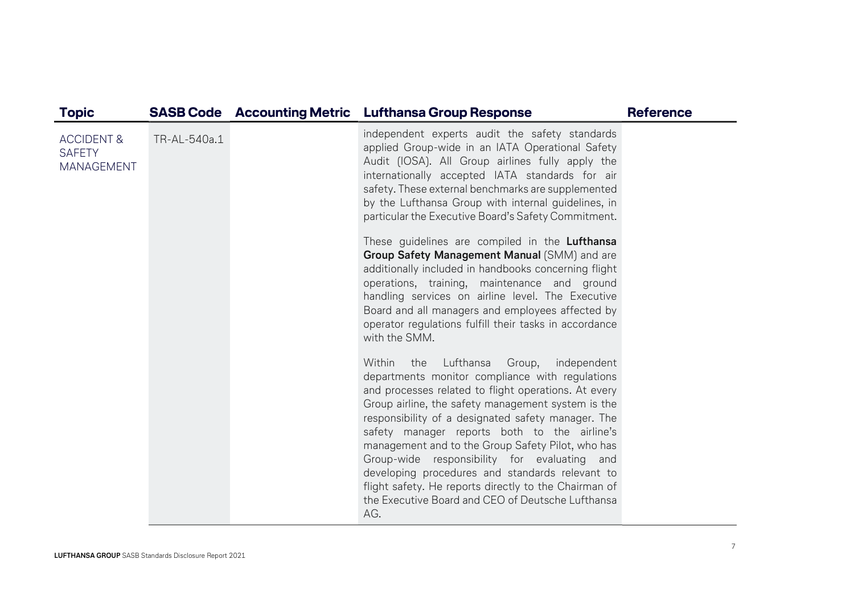| <b>Topic</b>                                                |              | <b>SASB Code</b> Accounting Metric | <b>Lufthansa Group Response</b>                                                                                                                                                                                                                                                                                                                                                                                                                                                                                                                                                                                                                                                                                                                                                                                                                                                                                                                                                                                                                                                                                                                                                                                                                                                                                                                                                        | <b>Reference</b> |
|-------------------------------------------------------------|--------------|------------------------------------|----------------------------------------------------------------------------------------------------------------------------------------------------------------------------------------------------------------------------------------------------------------------------------------------------------------------------------------------------------------------------------------------------------------------------------------------------------------------------------------------------------------------------------------------------------------------------------------------------------------------------------------------------------------------------------------------------------------------------------------------------------------------------------------------------------------------------------------------------------------------------------------------------------------------------------------------------------------------------------------------------------------------------------------------------------------------------------------------------------------------------------------------------------------------------------------------------------------------------------------------------------------------------------------------------------------------------------------------------------------------------------------|------------------|
| <b>ACCIDENT &amp;</b><br><b>SAFETY</b><br><b>MANAGEMENT</b> | TR-AL-540a.1 |                                    | independent experts audit the safety standards<br>applied Group-wide in an IATA Operational Safety<br>Audit (IOSA). All Group airlines fully apply the<br>internationally accepted IATA standards for air<br>safety. These external benchmarks are supplemented<br>by the Lufthansa Group with internal guidelines, in<br>particular the Executive Board's Safety Commitment.<br>These guidelines are compiled in the Lufthansa<br>Group Safety Management Manual (SMM) and are<br>additionally included in handbooks concerning flight<br>operations, training, maintenance and ground<br>handling services on airline level. The Executive<br>Board and all managers and employees affected by<br>operator regulations fulfill their tasks in accordance<br>with the SMM.<br>Lufthansa<br>Within<br>the<br>Group,<br>independent<br>departments monitor compliance with regulations<br>and processes related to flight operations. At every<br>Group airline, the safety management system is the<br>responsibility of a designated safety manager. The<br>safety manager reports both to the airline's<br>management and to the Group Safety Pilot, who has<br>Group-wide responsibility for evaluating and<br>developing procedures and standards relevant to<br>flight safety. He reports directly to the Chairman of<br>the Executive Board and CEO of Deutsche Lufthansa<br>AG. |                  |
|                                                             |              |                                    |                                                                                                                                                                                                                                                                                                                                                                                                                                                                                                                                                                                                                                                                                                                                                                                                                                                                                                                                                                                                                                                                                                                                                                                                                                                                                                                                                                                        |                  |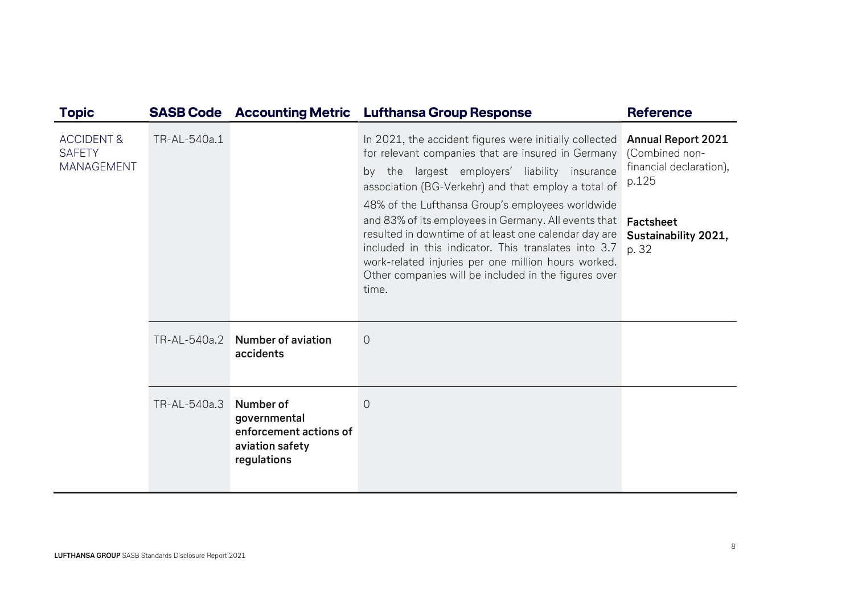| <b>Topic</b>                                                | <b>SASB Code</b> |                                                                                       | <b>Accounting Metric Lufthansa Group Response</b>                                                                                                                                                                                                                                             | <b>Reference</b>                                                                |
|-------------------------------------------------------------|------------------|---------------------------------------------------------------------------------------|-----------------------------------------------------------------------------------------------------------------------------------------------------------------------------------------------------------------------------------------------------------------------------------------------|---------------------------------------------------------------------------------|
| <b>ACCIDENT &amp;</b><br><b>SAFETY</b><br><b>MANAGEMENT</b> | TR-AL-540a.1     |                                                                                       | In 2021, the accident figures were initially collected<br>for relevant companies that are insured in Germany<br>by the largest employers' liability insurance<br>association (BG-Verkehr) and that employ a total of<br>48% of the Lufthansa Group's employees worldwide                      | <b>Annual Report 2021</b><br>(Combined non-<br>financial declaration),<br>p.125 |
|                                                             |                  |                                                                                       | and 83% of its employees in Germany. All events that<br>resulted in downtime of at least one calendar day are<br>included in this indicator. This translates into 3.7<br>work-related injuries per one million hours worked.<br>Other companies will be included in the figures over<br>time. | Factsheet<br>Sustainability 2021,<br>p. 32                                      |
|                                                             | TR-AL-540a.2     | <b>Number of aviation</b><br>accidents                                                | $\sqrt{a}$                                                                                                                                                                                                                                                                                    |                                                                                 |
|                                                             | TR-AL-540a.3     | Number of<br>governmental<br>enforcement actions of<br>aviation safety<br>regulations | $\overline{0}$                                                                                                                                                                                                                                                                                |                                                                                 |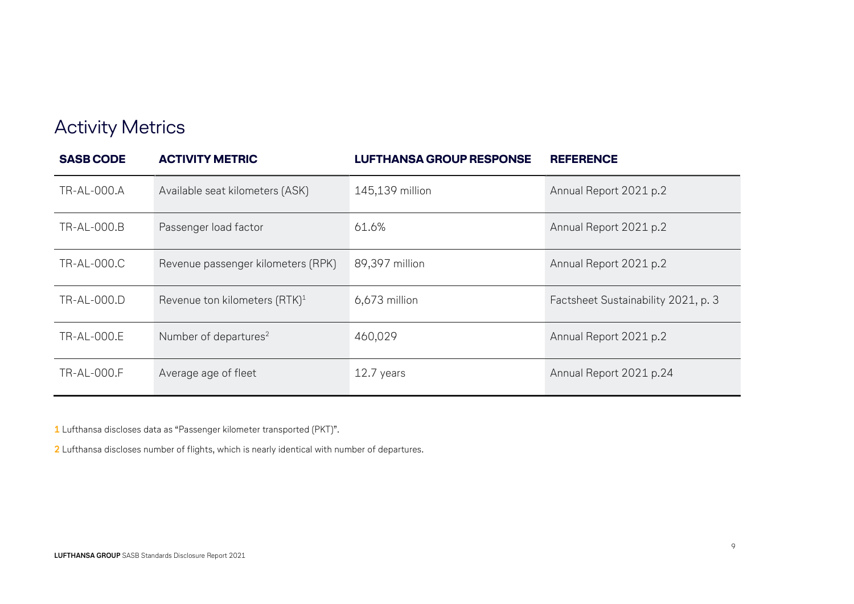## Activity Metrics

| <b>SASB CODE</b>   | <b>ACTIVITY METRIC</b>                    | <b>LUFTHANSA GROUP RESPONSE</b> | <b>REFERENCE</b>                    |
|--------------------|-------------------------------------------|---------------------------------|-------------------------------------|
| TR-AL-000.A        | Available seat kilometers (ASK)           | 145,139 million                 | Annual Report 2021 p.2              |
| <b>TR-AL-000.B</b> | Passenger load factor                     | 61.6%                           | Annual Report 2021 p.2              |
| TR-AL-000.C        | Revenue passenger kilometers (RPK)        | 89,397 million                  | Annual Report 2021 p.2              |
| TR-AL-000.D        | Revenue ton kilometers (RTK) <sup>1</sup> | $6,673$ million                 | Factsheet Sustainability 2021, p. 3 |
| TR-AL-000.E        | Number of departures <sup>2</sup>         | 460,029                         | Annual Report 2021 p.2              |
| TR-AL-000.F        | Average age of fleet                      | 12.7 years                      | Annual Report 2021 p.24             |

1 Lufthansa discloses data as "Passenger kilometer transported (PKT)".

2 Lufthansa discloses number of flights, which is nearly identical with number of departures.